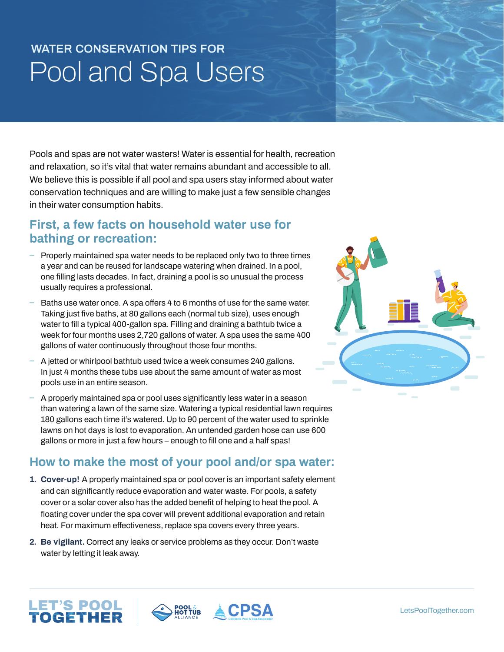# **WATER CONSERVATION TIPS FOR**  Pool and Spa Users

Pools and spas are not water wasters! Water is essential for health, recreation and relaxation, so it's vital that water remains abundant and accessible to all. We believe this is possible if all pool and spa users stay informed about water conservation techniques and are willing to make just a few sensible changes in their water consumption habits.

### **First, a few facts on household water use for bathing or recreation:**

- **ɴ** Properly maintained spa water needs to be replaced only two to three times a year and can be reused for landscape watering when drained. In a pool, one filling lasts decades. In fact, draining a pool is so unusual the process usually requires a professional.
- Baths use water once. A spa offers 4 to 6 months of use for the same water. Taking just five baths, at 80 gallons each (normal tub size), uses enough water to fill a typical 400-gallon spa. Filling and draining a bathtub twice a week for four months uses 2,720 gallons of water. A spa uses the same 400 gallons of water continuously throughout those four months.
- **ɴ** A jetted or whirlpool bathtub used twice a week consumes 240 gallons. In just 4 months these tubs use about the same amount of water as most pools use in an entire season.
- **ɴ** A properly maintained spa or pool uses significantly less water in a season than watering a lawn of the same size. Watering a typical residential lawn requires 180 gallons each time it's watered. Up to 90 percent of the water used to sprinkle lawns on hot days is lost to evaporation. An untended garden hose can use 600 gallons or more in just a few hours – enough to fill one and a half spas!

### **How to make the most of your pool and/or spa water:**

- **1. Cover-up!** A properly maintained spa or pool cover is an important safety element and can significantly reduce evaporation and water waste. For pools, a safety cover or a solar cover also has the added benefit of helping to heat the pool. A floating cover under the spa cover will prevent additional evaporation and retain heat. For maximum effectiveness, replace spa covers every three years.
- **2. Be vigilant.** Correct any leaks or service problems as they occur. Don't waste water by letting it leak away.

LET'S POO<mark>L</mark><br>**TOGETHER**